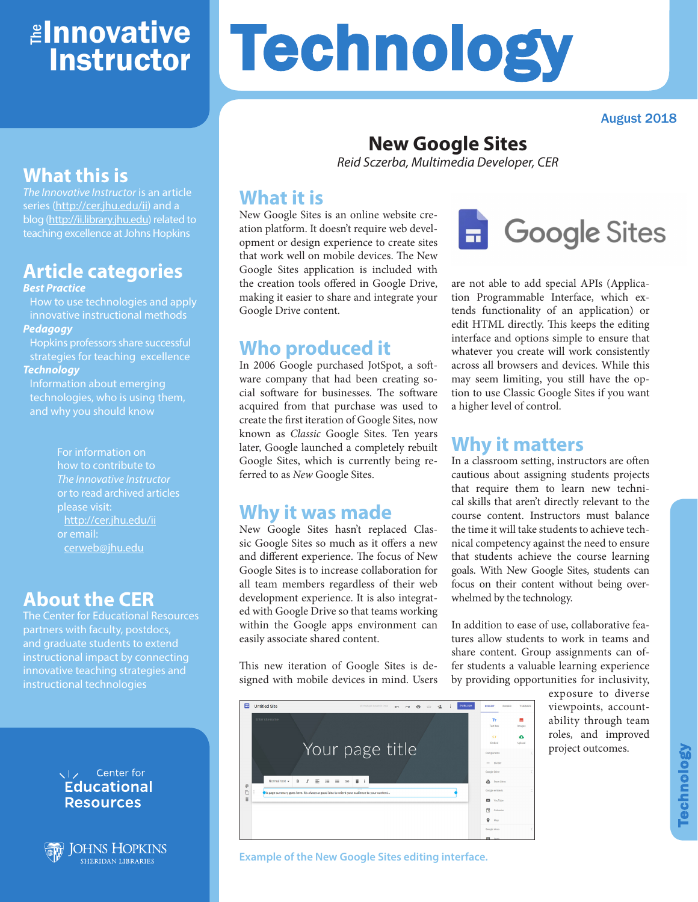## ≇l<mark>nnovative</mark> **Instructor**

# Technology

August 2018

## **What this is**

*The Innovative Instructor* is an article series (http://cer.jhu.edu/ii) and a blog (http://ii.library.jhu.edu) related to teaching excellence at Johns Hopkins

## **Article categories**

#### *Best Practice*

How to use technologies and apply innovative instructional methods *Pedagogy*

Hopkins professors share successful strategies for teaching excellence *Technology*

Information about emerging technologies, who is using them, and why you should know

> For information on how to contribute to *The Innovative Instructor* or to read archived articles please visit: http://cer.jhu.edu/ii or email: cerweb@jhu.edu

#### **About the CER**

The Center for Educational Resources partners with faculty, postdocs, and graduate students to extend instructional impact by connecting innovative teaching strategies and instructional technologies

#### VI<sub>z</sub> Center for **Educational Resources**



**JOHNS HOPKINS SHERIDAN LIBRARIES** 

# **New Google Sites**

*Reid Sczerba, Multimedia Developer, CER*

#### **What it is**

New Google Sites is an online website creation platform. It doesn't require web development or design experience to create sites that work well on mobile devices. The New Google Sites application is included with the creation tools offered in Google Drive, making it easier to share and integrate your Google Drive content.

#### **Who produced it**

In 2006 Google purchased JotSpot, a software company that had been creating social software for businesses. The software acquired from that purchase was used to create the first iteration of Google Sites, now known as *Classic* Google Sites. Ten years later, Google launched a completely rebuilt Google Sites, which is currently being referred to as *New* Google Sites.

#### **Why it was made**

New Google Sites hasn't replaced Classic Google Sites so much as it offers a new and different experience. The focus of New Google Sites is to increase collaboration for all team members regardless of their web development experience. It is also integrated with Google Drive so that teams working within the Google apps environment can easily associate shared content.

This new iteration of Google Sites is designed with mobile devices in mind. Users



**Example of the New Google Sites editing interface.**

# **Google Sites**

are not able to add special APIs (Application Programmable Interface, which extends functionality of an application) or edit HTML directly. This keeps the editing interface and options simple to ensure that whatever you create will work consistently across all browsers and devices. While this may seem limiting, you still have the option to use Classic Google Sites if you want a higher level of control.

### **Why it matters**

In a classroom setting, instructors are often cautious about assigning students projects that require them to learn new technical skills that aren't directly relevant to the course content. Instructors must balance the time it will take students to achieve technical competency against the need to ensure that students achieve the course learning goals. With New Google Sites, students can focus on their content without being overwhelmed by the technology.

In addition to ease of use, collaborative features allow students to work in teams and share content. Group assignments can offer students a valuable learning experience by providing opportunities for inclusivity,

> exposure to diverse viewpoints, accountability through team roles, and improved project outcomes.